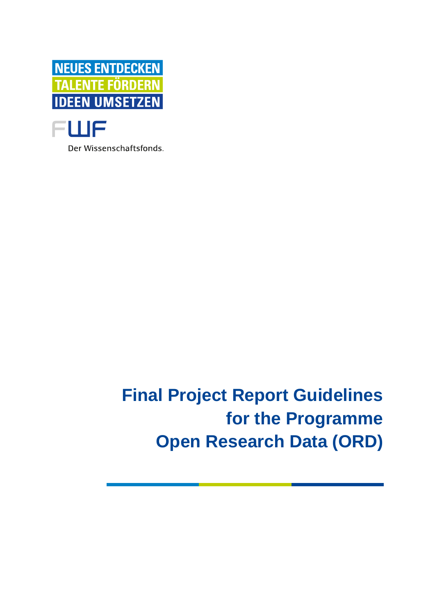



Der Wissenschaftsfonds.

**Final Project Report Guidelines for the Programme Open Research Data (ORD)**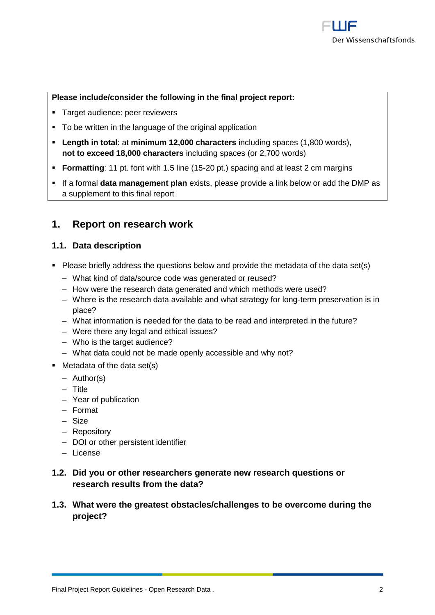#### **Please include/consider the following in the final project report:**

- Target audience: peer reviewers
- To be written in the language of the original application
- **Length in total**: at **minimum 12,000 characters** including spaces (1,800 words), **not to exceed 18,000 characters** including spaces (or 2,700 words)
- **Formatting**: 11 pt. font with 1.5 line (15-20 pt.) spacing and at least 2 cm margins
- If a formal **data management plan** exists, please provide a link below or add the DMP as a supplement to this final report

## **1. Report on research work**

#### **1.1. Data description**

- Please briefly address the questions below and provide the metadata of the data set(s)
	- ‒ What kind of data/source code was generated or reused?
	- How were the research data generated and which methods were used?
	- ‒ Where is the research data available and what strategy for long-term preservation is in place?
	- ‒ What information is needed for the data to be read and interpreted in the future?
	- ‒ Were there any legal and ethical issues?
	- Who is the target audience?
	- ‒ What data could not be made openly accessible and why not?
- Metadata of the data set(s)
	- $-$  Author(s)
	- ‒ Title
	- ‒ Year of publication
	- ‒ Format
	- ‒ Size
	- ‒ Repository
	- DOI or other persistent identifier
	- ‒ License
- **1.2. Did you or other researchers generate new research questions or research results from the data?**
- **1.3. What were the greatest obstacles/challenges to be overcome during the project?**